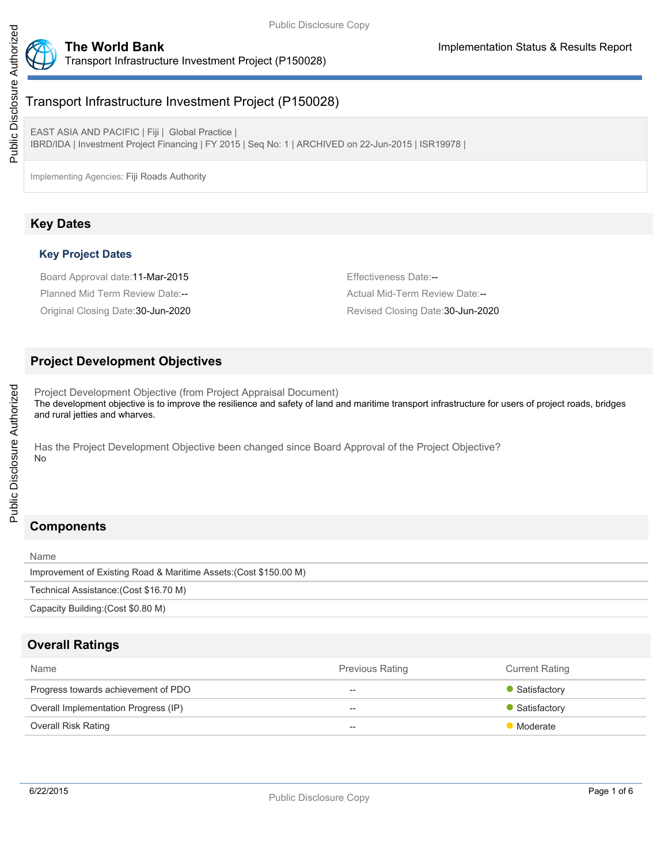

# Transport Infrastructure Investment Project (P150028)

EAST ASIA AND PACIFIC | Fiji | Global Practice | IBRD/IDA | Investment Project Financing | FY 2015 | Seq No: 1 | ARCHIVED on 22-Jun-2015 | ISR19978 |

Implementing Agencies: Fiji Roads Authority

# **Key Dates**

#### **Key Project Dates**

Board Approval date:11-Mar-2015 **Effectiveness Date:--**

Planned Mid Term Review Date:-- <br>
Actual Mid-Term Review Date:--Original Closing Date:30-Jun-2020 Revised Closing Date:30-Jun-2020

### **Project Development Objectives**

Project Development Objective (from Project Appraisal Document) The development objective is to improve the resilience and safety of land and maritime transport infrastructure for users of project roads, bridges and rural jetties and wharves.

Has the Project Development Objective been changed since Board Approval of the Project Objective? No

# **Components**

| Name                                                              |
|-------------------------------------------------------------------|
| Improvement of Existing Road & Maritime Assets: (Cost \$150.00 M) |
| Technical Assistance: (Cost \$16.70 M)                            |
| Capacity Building: (Cost \$0.80 M)                                |
|                                                                   |

### **Overall Ratings**

| Name                                 | <b>Previous Rating</b> | <b>Current Rating</b> |
|--------------------------------------|------------------------|-----------------------|
| Progress towards achievement of PDO  | $- -$                  | • Satisfactory        |
| Overall Implementation Progress (IP) | $- -$                  | • Satisfactory        |
| <b>Overall Risk Rating</b>           | $- -$                  | Moderate              |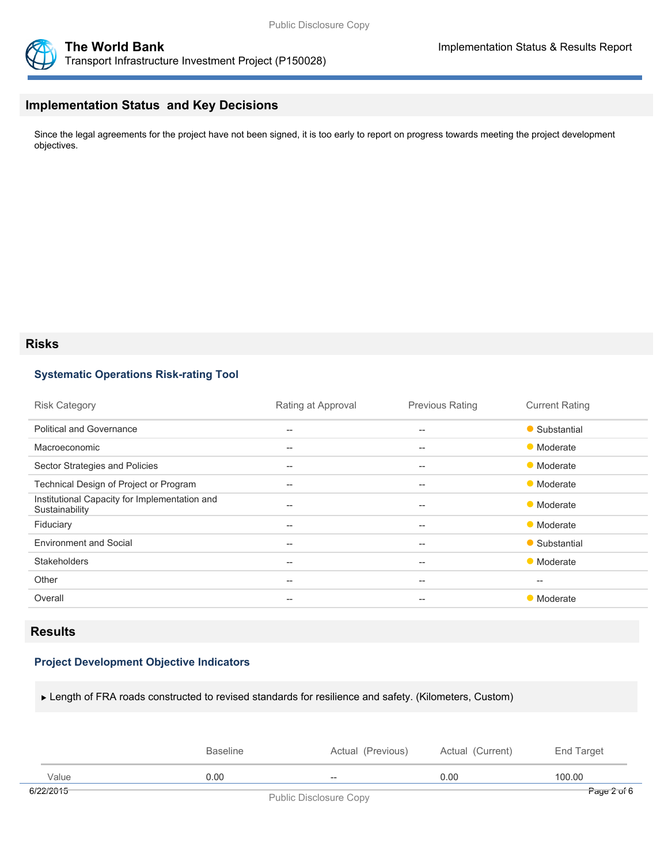

## **Implementation Status and Key Decisions**

Since the legal agreements for the project have not been signed, it is too early to report on progress towards meeting the project development objectives.

### **Risks**

## **Systematic Operations Risk-rating Tool**

| <b>Risk Category</b>                                            | Rating at Approval | <b>Previous Rating</b>                              | <b>Current Rating</b> |
|-----------------------------------------------------------------|--------------------|-----------------------------------------------------|-----------------------|
| <b>Political and Governance</b>                                 | $- -$              | $-$                                                 | • Substantial         |
| Macroeconomic                                                   | --                 | $- -$                                               | • Moderate            |
| Sector Strategies and Policies                                  | --                 | $-$                                                 | • Moderate            |
| Technical Design of Project or Program                          | $- -$              | $- -$                                               | • Moderate            |
| Institutional Capacity for Implementation and<br>Sustainability | $- -$              | $-$                                                 | • Moderate            |
| Fiduciary                                                       | $- -$              | $-$                                                 | • Moderate            |
| <b>Environment and Social</b>                                   | --                 | $\hspace{0.05cm} -\hspace{0.05cm} -\hspace{0.05cm}$ | • Substantial         |
| <b>Stakeholders</b>                                             | --                 | $-$                                                 | • Moderate            |
| Other                                                           | --                 | $\hspace{0.05cm} -\hspace{0.05cm} -\hspace{0.05cm}$ | $-$                   |
| Overall                                                         | --                 | $- -$                                               | • Moderate            |

## **Results**

#### **Project Development Objective Indicators**

Length of FRA roads constructed to revised standards for resilience and safety. (Kilometers, Custom)

|           | <b>Baseline</b> | Actual (Previous)             | Actual (Current) | End Target  |
|-----------|-----------------|-------------------------------|------------------|-------------|
| Value     | 0.00            | $-$                           | 0.00             | 100.00      |
| 6/22/2015 |                 | <b>Public Disclosure Copy</b> |                  | Page 2 of 6 |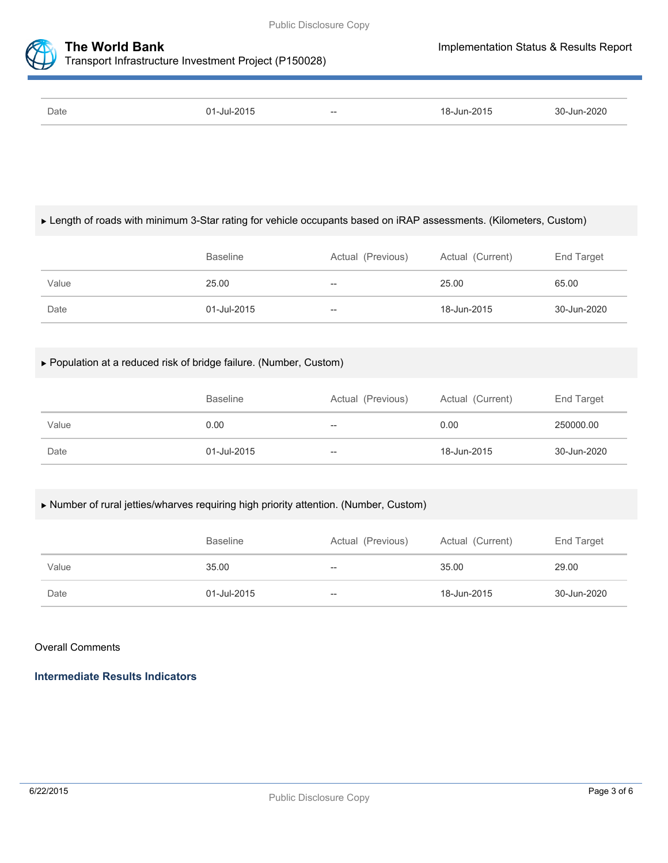



| Date | $ ln 1 - 2015$ | $- -$ | 18-Jun-2015 | -Jun-2020 |
|------|----------------|-------|-------------|-----------|

## Length of roads with minimum 3-Star rating for vehicle occupants based on iRAP assessments. (Kilometers, Custom)

|       | Baseline    | Actual (Previous) | Actual (Current) | End Target  |
|-------|-------------|-------------------|------------------|-------------|
| Value | 25.00       | --                | 25.00            | 65.00       |
| Date  | 01-Jul-2015 | $- -$             | 18-Jun-2015      | 30-Jun-2020 |

### Population at a reduced risk of bridge failure. (Number, Custom)

|       | <b>Baseline</b> | Actual (Previous) | Actual (Current) | End Target  |
|-------|-----------------|-------------------|------------------|-------------|
| Value | 0.00            | $- -$             | 0.00             | 250000.00   |
| Date  | 01-Jul-2015     | $- -$             | 18-Jun-2015      | 30-Jun-2020 |

### Number of rural jetties/wharves requiring high priority attention. (Number, Custom)

|       | <b>Baseline</b> | Actual (Previous) | Actual (Current) | End Target  |
|-------|-----------------|-------------------|------------------|-------------|
| Value | 35.00           | $- -$             | 35.00            | 29.00       |
| Date  | 01-Jul-2015     | $- -$             | 18-Jun-2015      | 30-Jun-2020 |

### Overall Comments

**Intermediate Results Indicators**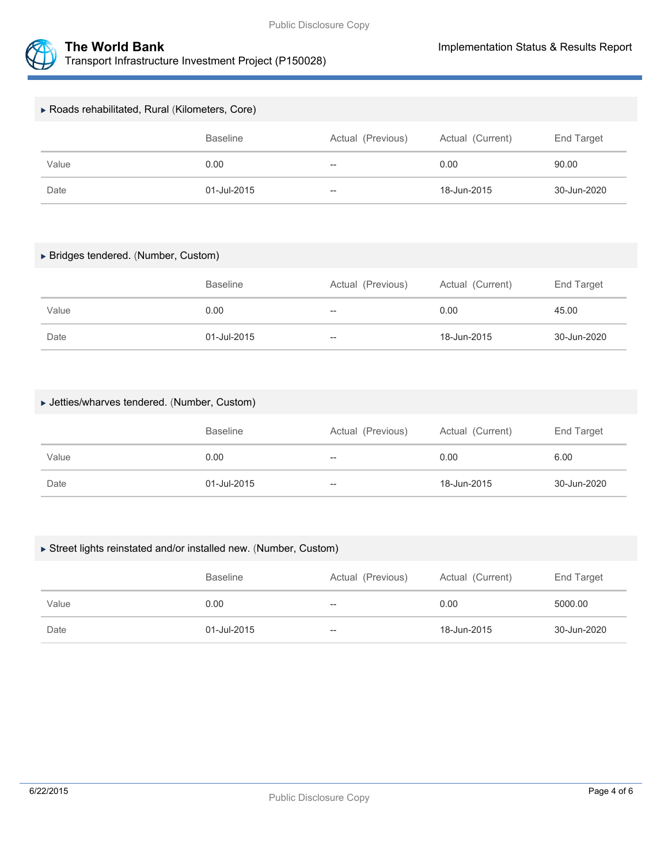



| ▶ Roads rehabilitated, Rural (Kilometers, Core) |                 |                   |                  |             |  |
|-------------------------------------------------|-----------------|-------------------|------------------|-------------|--|
|                                                 | <b>Baseline</b> | Actual (Previous) | Actual (Current) | End Target  |  |
| Value                                           | 0.00            | $\hspace{0.05cm}$ | 0.00             | 90.00       |  |
| Date                                            | 01-Jul-2015     | $\hspace{0.05cm}$ | 18-Jun-2015      | 30-Jun-2020 |  |

#### Bridges tendered. (Number, Custom)

|       | <b>Baseline</b> | Actual (Previous) | Actual (Current) | End Target  |
|-------|-----------------|-------------------|------------------|-------------|
| Value | 0.00            | $- -$             | 0.00             | 45.00       |
| Date  | 01-Jul-2015     | $- -$             | 18-Jun-2015      | 30-Jun-2020 |

#### Jetties/wharves tendered. (Number, Custom)

|       | <b>Baseline</b> | Actual (Previous) | Actual (Current) | End Target  |
|-------|-----------------|-------------------|------------------|-------------|
| Value | 0.00            | $- -$             | 0.00             | 6.00        |
| Date  | 01-Jul-2015     | $- -$             | 18-Jun-2015      | 30-Jun-2020 |

#### Street lights reinstated and/or installed new. (Number, Custom)

|       | <b>Baseline</b> | Actual (Previous) | Actual (Current) | End Target  |
|-------|-----------------|-------------------|------------------|-------------|
| Value | 0.00            | $- -$             | 0.00             | 5000.00     |
| Date  | 01-Jul-2015     | $-\!$             | 18-Jun-2015      | 30-Jun-2020 |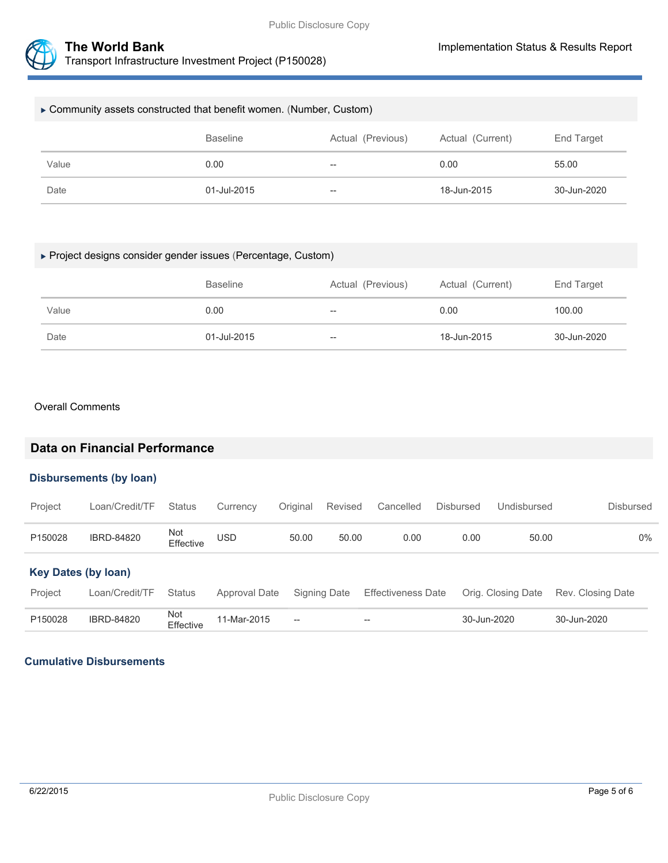

| ► Community assets constructed that benefit women. (Number, Custom) |                 |                   |                  |             |  |  |
|---------------------------------------------------------------------|-----------------|-------------------|------------------|-------------|--|--|
|                                                                     | <b>Baseline</b> | Actual (Previous) | Actual (Current) | End Target  |  |  |
| Value                                                               | 0.00            | $- -$             | 0.00             | 55.00       |  |  |
| Date                                                                | 01-Jul-2015     | $- -$             | 18-Jun-2015      | 30-Jun-2020 |  |  |

#### Project designs consider gender issues (Percentage, Custom)

|       | <b>Baseline</b> | Actual (Previous) | Actual (Current) | End Target  |
|-------|-----------------|-------------------|------------------|-------------|
| Value | 0.00            | $-$               | 0.00             | 100.00      |
| Date  | 01-Jul-2015     | $- -$             | 18-Jun-2015      | 30-Jun-2020 |

#### Overall Comments

## **Data on Financial Performance**

#### **Disbursements (by loan)**

| Project                    | Loan/Credit/TF    | <b>Status</b>    | Currency      | Original | Revised      | Cancelled                                           | <b>Disbursed</b> | Undisbursed        | <b>Disbursed</b>  |
|----------------------------|-------------------|------------------|---------------|----------|--------------|-----------------------------------------------------|------------------|--------------------|-------------------|
| P150028                    | <b>IBRD-84820</b> | Not<br>Effective | USD           | 50.00    | 50.00        | 0.00                                                | 0.00             | 50.00              | $0\%$             |
| <b>Key Dates (by loan)</b> |                   |                  |               |          |              |                                                     |                  |                    |                   |
| Project                    | Loan/Credit/TF    | <b>Status</b>    | Approval Date |          | Signing Date | <b>Effectiveness Date</b>                           |                  | Orig. Closing Date | Rev. Closing Date |
| P150028                    | <b>IBRD-84820</b> | Not<br>Effective | 11-Mar-2015   | $--$     |              | $\hspace{0.05cm} -\hspace{0.05cm} -\hspace{0.05cm}$ | 30-Jun-2020      |                    | 30-Jun-2020       |

#### **Cumulative Disbursements**